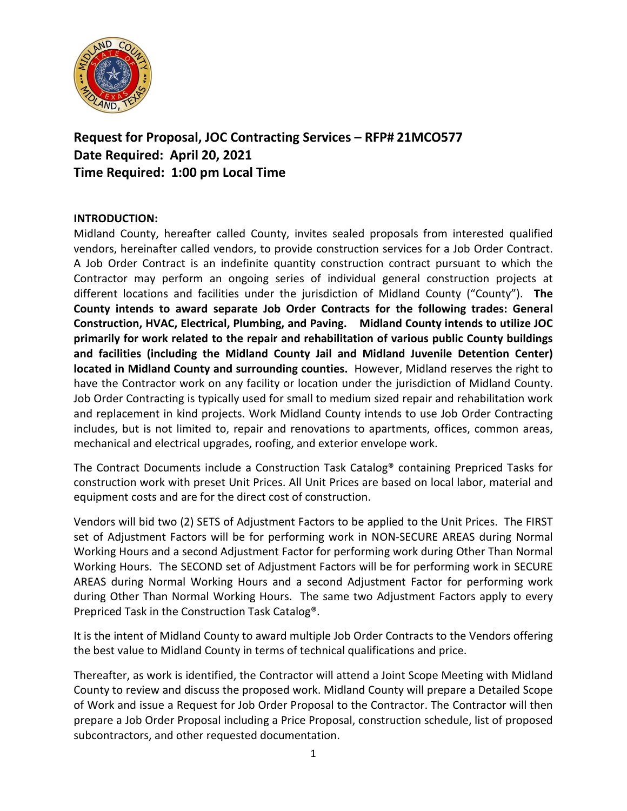

## **Request for Proposal, JOC Contracting Services – RFP# 21MCO577 Date Required: April 20, 2021 Time Required: 1:00 pm Local Time**

## **INTRODUCTION:**

Midland County, hereafter called County, invites sealed proposals from interested qualified vendors, hereinafter called vendors, to provide construction services for a Job Order Contract. A Job Order Contract is an indefinite quantity construction contract pursuant to which the Contractor may perform an ongoing series of individual general construction projects at different locations and facilities under the jurisdiction of Midland County ("County"). **The County intends to award separate Job Order Contracts for the following trades: General Construction, HVAC, Electrical, Plumbing, and Paving. Midland County intends to utilize JOC primarily for work related to the repair and rehabilitation of various public County buildings and facilities (including the Midland County Jail and Midland Juvenile Detention Center) located in Midland County and surrounding counties.** However, Midland reserves the right to have the Contractor work on any facility or location under the jurisdiction of Midland County. Job Order Contracting is typically used for small to medium sized repair and rehabilitation work and replacement in kind projects. Work Midland County intends to use Job Order Contracting includes, but is not limited to, repair and renovations to apartments, offices, common areas, mechanical and electrical upgrades, roofing, and exterior envelope work.

The Contract Documents include a Construction Task Catalog® containing Prepriced Tasks for construction work with preset Unit Prices. All Unit Prices are based on local labor, material and equipment costs and are for the direct cost of construction.

Vendors will bid two (2) SETS of Adjustment Factors to be applied to the Unit Prices. The FIRST set of Adjustment Factors will be for performing work in NON-SECURE AREAS during Normal Working Hours and a second Adjustment Factor for performing work during Other Than Normal Working Hours. The SECOND set of Adjustment Factors will be for performing work in SECURE AREAS during Normal Working Hours and a second Adjustment Factor for performing work during Other Than Normal Working Hours. The same two Adjustment Factors apply to every Prepriced Task in the Construction Task Catalog®.

It is the intent of Midland County to award multiple Job Order Contracts to the Vendors offering the best value to Midland County in terms of technical qualifications and price.

Thereafter, as work is identified, the Contractor will attend a Joint Scope Meeting with Midland County to review and discuss the proposed work. Midland County will prepare a Detailed Scope of Work and issue a Request for Job Order Proposal to the Contractor. The Contractor will then prepare a Job Order Proposal including a Price Proposal, construction schedule, list of proposed subcontractors, and other requested documentation.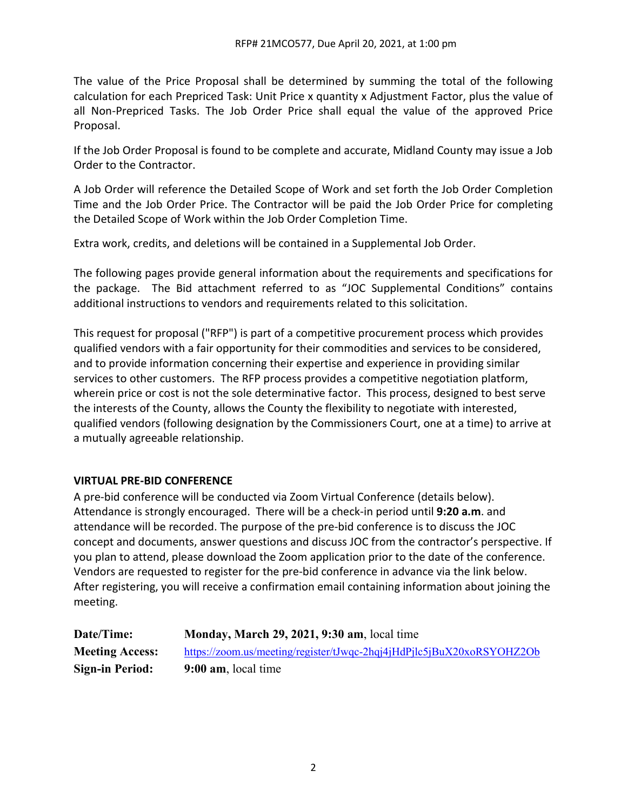The value of the Price Proposal shall be determined by summing the total of the following calculation for each Prepriced Task: Unit Price x quantity x Adjustment Factor, plus the value of all Non-Prepriced Tasks. The Job Order Price shall equal the value of the approved Price Proposal.

If the Job Order Proposal is found to be complete and accurate, Midland County may issue a Job Order to the Contractor.

A Job Order will reference the Detailed Scope of Work and set forth the Job Order Completion Time and the Job Order Price. The Contractor will be paid the Job Order Price for completing the Detailed Scope of Work within the Job Order Completion Time.

Extra work, credits, and deletions will be contained in a Supplemental Job Order.

The following pages provide general information about the requirements and specifications for the package. The Bid attachment referred to as "JOC Supplemental Conditions" contains additional instructions to vendors and requirements related to this solicitation.

This request for proposal ("RFP") is part of a competitive procurement process which provides qualified vendors with a fair opportunity for their commodities and services to be considered, and to provide information concerning their expertise and experience in providing similar services to other customers. The RFP process provides a competitive negotiation platform, wherein price or cost is not the sole determinative factor. This process, designed to best serve the interests of the County, allows the County the flexibility to negotiate with interested, qualified vendors (following designation by the Commissioners Court, one at a time) to arrive at a mutually agreeable relationship.

## **VIRTUAL PRE-BID CONFERENCE**

A pre-bid conference will be conducted via Zoom Virtual Conference (details below). Attendance is strongly encouraged. There will be a check-in period until **9:20 a.m**. and attendance will be recorded. The purpose of the pre-bid conference is to discuss the JOC concept and documents, answer questions and discuss JOC from the contractor's perspective. If you plan to attend, please download the Zoom application prior to the date of the conference. Vendors are requested to register for the pre-bid conference in advance via the link below. After registering, you will receive a confirmation email containing information about joining the meeting.

| Date/Time:             | <b>Monday, March 29, 2021, 9:30 am, local time</b>                    |
|------------------------|-----------------------------------------------------------------------|
| <b>Meeting Access:</b> | https://zoom.us/meeting/register/tJwqc-2hqj4jHdPjlc5jBuX20xoRSYOHZ2Ob |
| <b>Sign-in Period:</b> | $9:00$ am, local time                                                 |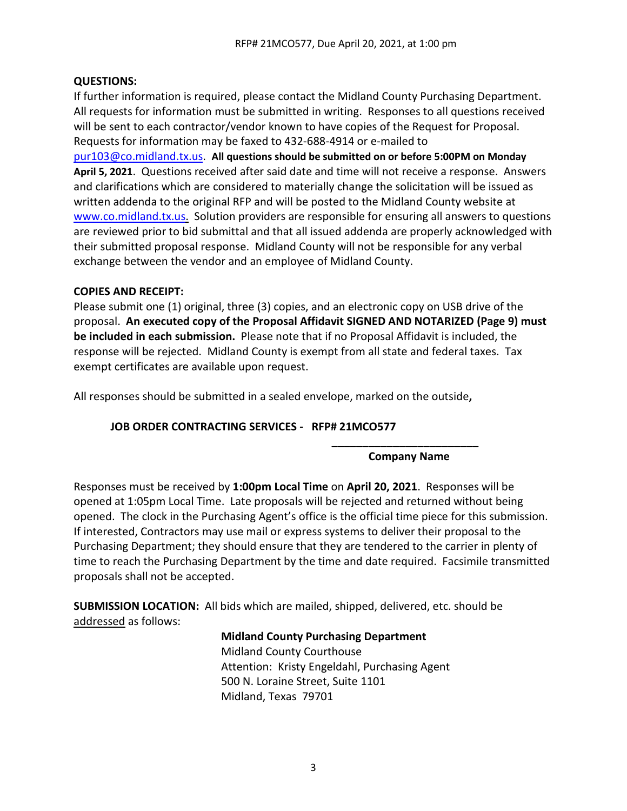### **QUESTIONS:**

If further information is required, please contact the Midland County Purchasing Department. All requests for information must be submitted in writing. Responses to all questions received will be sent to each contractor/vendor known to have copies of the Request for Proposal. Requests for information may be faxed to 432-688-4914 or e-mailed to

[pur103@co.midland.tx.us.](mailto:pur103@co.midland.tx.us) **All questions should be submitted on or before 5:00PM on Monday April 5, 2021**. Questions received after said date and time will not receive a response. Answers and clarifications which are considered to materially change the solicitation will be issued as written addenda to the original RFP and will be posted to the Midland County website at [www.co.midland.tx.us.](http://www.co.midland.tx.us/) Solution providers are responsible for ensuring all answers to questions are reviewed prior to bid submittal and that all issued addenda are properly acknowledged with their submitted proposal response. Midland County will not be responsible for any verbal exchange between the vendor and an employee of Midland County.

#### **COPIES AND RECEIPT:**

Please submit one (1) original, three (3) copies, and an electronic copy on USB drive of the proposal. **An executed copy of the Proposal Affidavit SIGNED AND NOTARIZED (Page 9) must be included in each submission.** Please note that if no Proposal Affidavit is included, the response will be rejected. Midland County is exempt from all state and federal taxes. Tax exempt certificates are available upon request.

All responses should be submitted in a sealed envelope, marked on the outside**,** 

## **JOB ORDER CONTRACTING SERVICES - RFP# 21MCO577**

#### **\_\_\_\_\_\_\_\_\_\_\_\_\_\_\_\_\_\_\_\_\_\_\_\_ Company Name**

Responses must be received by **1:00pm Local Time** on **April 20, 2021**. Responses will be opened at 1:05pm Local Time. Late proposals will be rejected and returned without being opened. The clock in the Purchasing Agent's office is the official time piece for this submission. If interested, Contractors may use mail or express systems to deliver their proposal to the Purchasing Department; they should ensure that they are tendered to the carrier in plenty of time to reach the Purchasing Department by the time and date required. Facsimile transmitted proposals shall not be accepted.

**SUBMISSION LOCATION:** All bids which are mailed, shipped, delivered, etc. should be addressed as follows:

#### **Midland County Purchasing Department**

Midland County Courthouse Attention: Kristy Engeldahl, Purchasing Agent 500 N. Loraine Street, Suite 1101 Midland, Texas 79701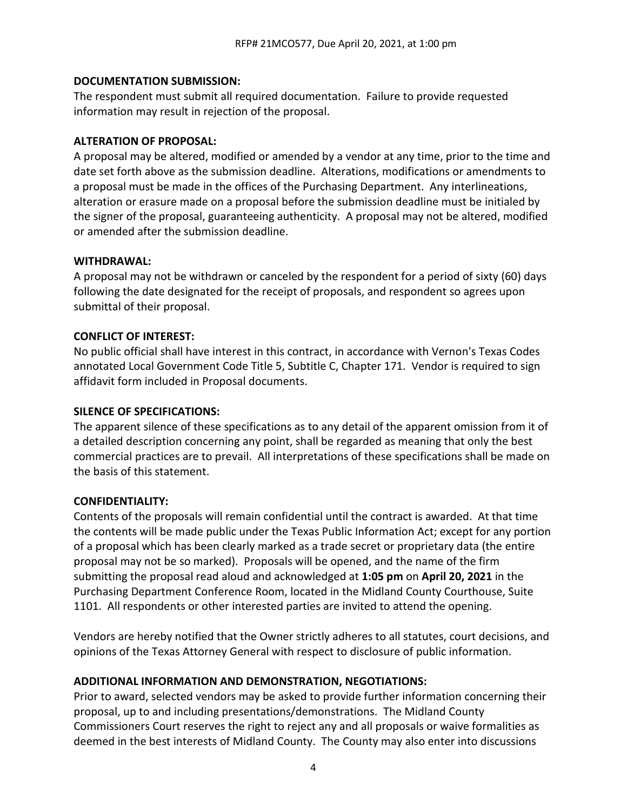#### **DOCUMENTATION SUBMISSION:**

The respondent must submit all required documentation. Failure to provide requested information may result in rejection of the proposal.

#### **ALTERATION OF PROPOSAL:**

A proposal may be altered, modified or amended by a vendor at any time, prior to the time and date set forth above as the submission deadline. Alterations, modifications or amendments to a proposal must be made in the offices of the Purchasing Department. Any interlineations, alteration or erasure made on a proposal before the submission deadline must be initialed by the signer of the proposal, guaranteeing authenticity. A proposal may not be altered, modified or amended after the submission deadline.

### **WITHDRAWAL:**

A proposal may not be withdrawn or canceled by the respondent for a period of sixty (60) days following the date designated for the receipt of proposals, and respondent so agrees upon submittal of their proposal.

### **CONFLICT OF INTEREST:**

No public official shall have interest in this contract, in accordance with Vernon's Texas Codes annotated Local Government Code Title 5, Subtitle C, Chapter 171. Vendor is required to sign affidavit form included in Proposal documents.

#### **SILENCE OF SPECIFICATIONS:**

The apparent silence of these specifications as to any detail of the apparent omission from it of a detailed description concerning any point, shall be regarded as meaning that only the best commercial practices are to prevail. All interpretations of these specifications shall be made on the basis of this statement.

#### **CONFIDENTIALITY:**

Contents of the proposals will remain confidential until the contract is awarded. At that time the contents will be made public under the Texas Public Information Act; except for any portion of a proposal which has been clearly marked as a trade secret or proprietary data (the entire proposal may not be so marked). Proposals will be opened, and the name of the firm submitting the proposal read aloud and acknowledged at **1:05 pm** on **April 20, 2021** in the Purchasing Department Conference Room, located in the Midland County Courthouse, Suite 1101. All respondents or other interested parties are invited to attend the opening.

Vendors are hereby notified that the Owner strictly adheres to all statutes, court decisions, and opinions of the Texas Attorney General with respect to disclosure of public information.

## **ADDITIONAL INFORMATION AND DEMONSTRATION, NEGOTIATIONS:**

Prior to award, selected vendors may be asked to provide further information concerning their proposal, up to and including presentations/demonstrations. The Midland County Commissioners Court reserves the right to reject any and all proposals or waive formalities as deemed in the best interests of Midland County. The County may also enter into discussions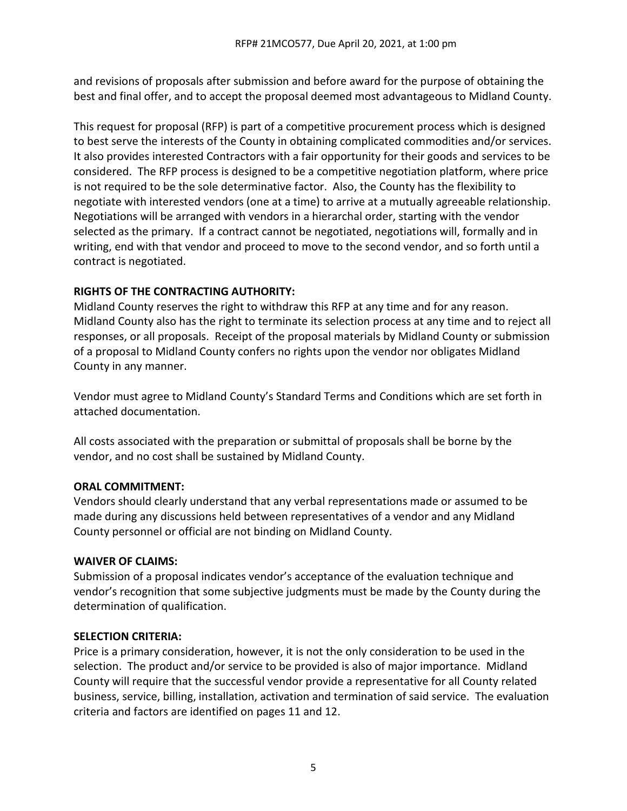and revisions of proposals after submission and before award for the purpose of obtaining the best and final offer, and to accept the proposal deemed most advantageous to Midland County.

This request for proposal (RFP) is part of a competitive procurement process which is designed to best serve the interests of the County in obtaining complicated commodities and/or services. It also provides interested Contractors with a fair opportunity for their goods and services to be considered. The RFP process is designed to be a competitive negotiation platform, where price is not required to be the sole determinative factor. Also, the County has the flexibility to negotiate with interested vendors (one at a time) to arrive at a mutually agreeable relationship. Negotiations will be arranged with vendors in a hierarchal order, starting with the vendor selected as the primary. If a contract cannot be negotiated, negotiations will, formally and in writing, end with that vendor and proceed to move to the second vendor, and so forth until a contract is negotiated.

## **RIGHTS OF THE CONTRACTING AUTHORITY:**

Midland County reserves the right to withdraw this RFP at any time and for any reason. Midland County also has the right to terminate its selection process at any time and to reject all responses, or all proposals. Receipt of the proposal materials by Midland County or submission of a proposal to Midland County confers no rights upon the vendor nor obligates Midland County in any manner.

Vendor must agree to Midland County's Standard Terms and Conditions which are set forth in attached documentation.

All costs associated with the preparation or submittal of proposals shall be borne by the vendor, and no cost shall be sustained by Midland County.

## **ORAL COMMITMENT:**

Vendors should clearly understand that any verbal representations made or assumed to be made during any discussions held between representatives of a vendor and any Midland County personnel or official are not binding on Midland County.

#### **WAIVER OF CLAIMS:**

Submission of a proposal indicates vendor's acceptance of the evaluation technique and vendor's recognition that some subjective judgments must be made by the County during the determination of qualification.

#### **SELECTION CRITERIA:**

Price is a primary consideration, however, it is not the only consideration to be used in the selection. The product and/or service to be provided is also of major importance. Midland County will require that the successful vendor provide a representative for all County related business, service, billing, installation, activation and termination of said service. The evaluation criteria and factors are identified on pages 11 and 12.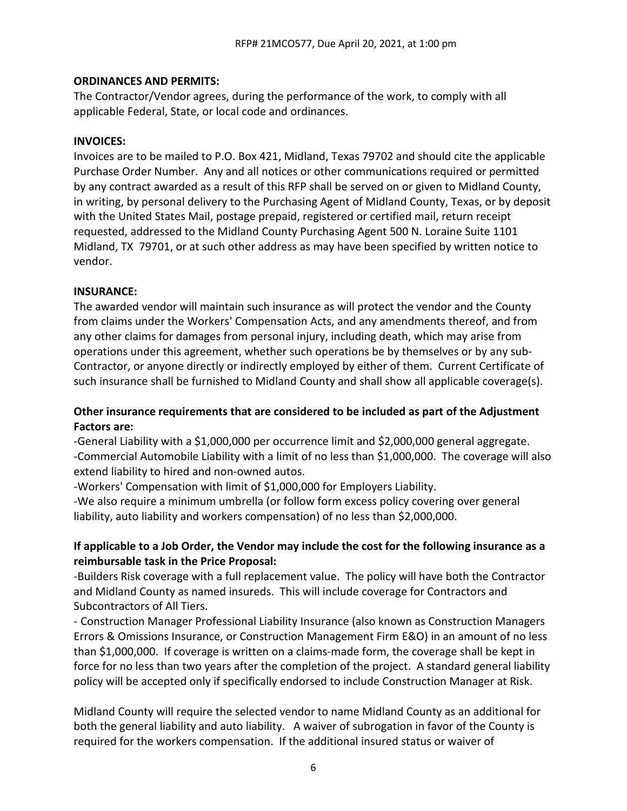#### **ORDINANCES AND PERMITS:**

The Contractor/Vendor agrees, during the performance of the work, to comply with all applicable Federal, State, or local code and ordinances.

#### **INVOICES:**

Invoices are to be mailed to P.O. Box 421, Midland, Texas 79702 and should cite the applicable Purchase Order Number. Any and all notices or other communications required or permitted by any contract awarded as a result of this RFP shall be served on or given to Midland County, in writing, by personal delivery to the Purchasing Agent of Midland County, Texas, or by deposit with the United States Mail, postage prepaid, registered or certified mail, return receipt requested, addressed to the Midland County Purchasing Agent 500 N. Loraine Suite 1101 Midland, TX 79701, or at such other address as may have been specified by written notice to vendor.

#### **INSURANCE:**

The awarded vendor will maintain such insurance as will protect the vendor and the County from claims under the Workers' Compensation Acts, and any amendments thereof, and from any other claims for damages from personal injury, including death, which may arise from operations under this agreement, whether such operations be by themselves or by any sub-Contractor, or anyone directly or indirectly employed by either of them. Current Certificate of such insurance shall be furnished to Midland County and shall show all applicable coverage(s).

## **Other insurance requirements that are considered to be included as part of the Adjustment Factors are:**

-General Liability with a \$1,000,000 per occurrence limit and \$2,000,000 general aggregate. -Commercial Automobile Liability with a limit of no less than \$1,000,000. The coverage will also extend liability to hired and non-owned autos.

-Workers' Compensation with limit of \$1,000,000 for Employers Liability.

-We also require a minimum umbrella (or follow form excess policy covering over general liability, auto liability and workers compensation) of no less than \$2,000,000.

## **If applicable to a Job Order, the Vendor may include the cost for the following insurance as a reimbursable task in the Price Proposal:**

-Builders Risk coverage with a full replacement value. The policy will have both the Contractor and Midland County as named insureds. This will include coverage for Contractors and Subcontractors of All Tiers.

- Construction Manager Professional Liability Insurance (also known as Construction Managers Errors & Omissions Insurance, or Construction Management Firm E&O) in an amount of no less than \$1,000,000. If coverage is written on a claims-made form, the coverage shall be kept in force for no less than two years after the completion of the project. A standard general liability policy will be accepted only if specifically endorsed to include Construction Manager at Risk.

Midland County will require the selected vendor to name Midland County as an additional for both the general liability and auto liability. A waiver of subrogation in favor of the County is required for the workers compensation. If the additional insured status or waiver of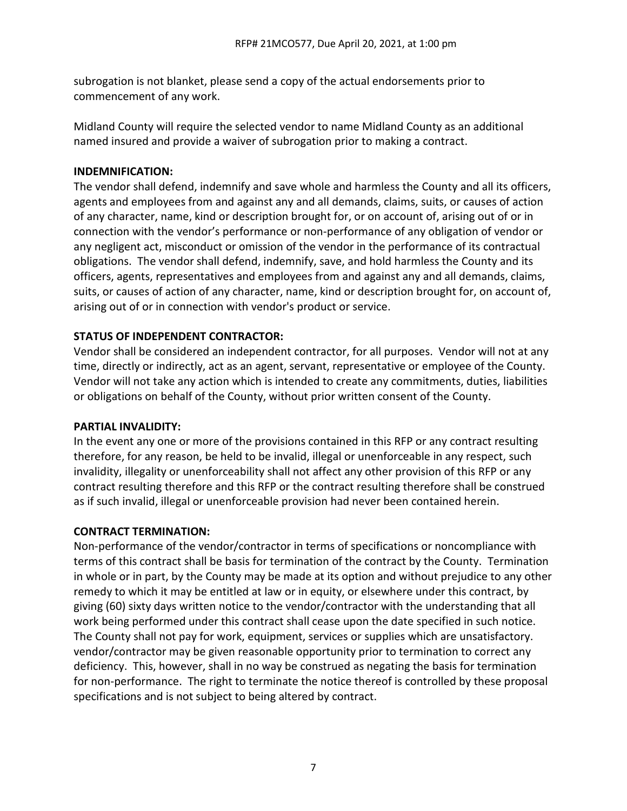subrogation is not blanket, please send a copy of the actual endorsements prior to commencement of any work.

Midland County will require the selected vendor to name Midland County as an additional named insured and provide a waiver of subrogation prior to making a contract.

#### **INDEMNIFICATION:**

The vendor shall defend, indemnify and save whole and harmless the County and all its officers, agents and employees from and against any and all demands, claims, suits, or causes of action of any character, name, kind or description brought for, or on account of, arising out of or in connection with the vendor's performance or non-performance of any obligation of vendor or any negligent act, misconduct or omission of the vendor in the performance of its contractual obligations. The vendor shall defend, indemnify, save, and hold harmless the County and its officers, agents, representatives and employees from and against any and all demands, claims, suits, or causes of action of any character, name, kind or description brought for, on account of, arising out of or in connection with vendor's product or service.

### **STATUS OF INDEPENDENT CONTRACTOR:**

Vendor shall be considered an independent contractor, for all purposes. Vendor will not at any time, directly or indirectly, act as an agent, servant, representative or employee of the County. Vendor will not take any action which is intended to create any commitments, duties, liabilities or obligations on behalf of the County, without prior written consent of the County.

#### **PARTIAL INVALIDITY:**

In the event any one or more of the provisions contained in this RFP or any contract resulting therefore, for any reason, be held to be invalid, illegal or unenforceable in any respect, such invalidity, illegality or unenforceability shall not affect any other provision of this RFP or any contract resulting therefore and this RFP or the contract resulting therefore shall be construed as if such invalid, illegal or unenforceable provision had never been contained herein.

#### **CONTRACT TERMINATION:**

Non-performance of the vendor/contractor in terms of specifications or noncompliance with terms of this contract shall be basis for termination of the contract by the County. Termination in whole or in part, by the County may be made at its option and without prejudice to any other remedy to which it may be entitled at law or in equity, or elsewhere under this contract, by giving (60) sixty days written notice to the vendor/contractor with the understanding that all work being performed under this contract shall cease upon the date specified in such notice. The County shall not pay for work, equipment, services or supplies which are unsatisfactory. vendor/contractor may be given reasonable opportunity prior to termination to correct any deficiency. This, however, shall in no way be construed as negating the basis for termination for non-performance. The right to terminate the notice thereof is controlled by these proposal specifications and is not subject to being altered by contract.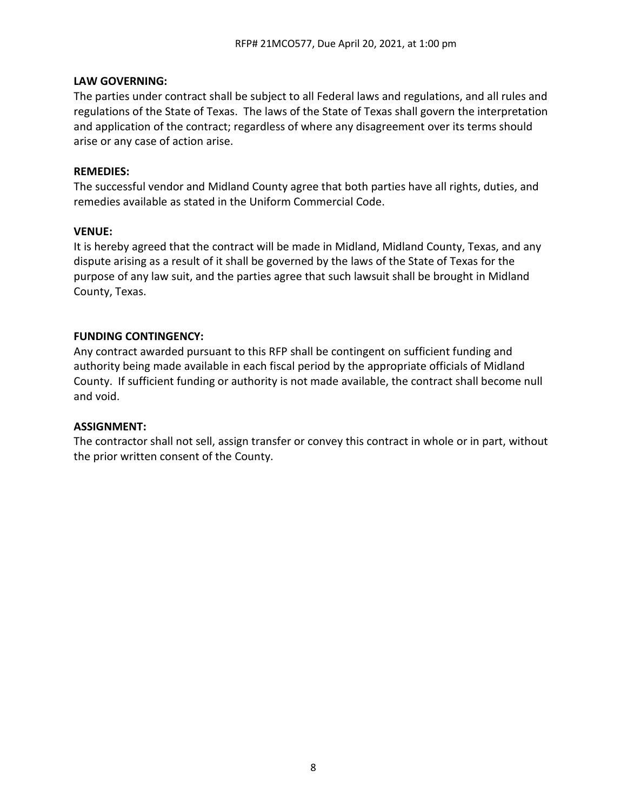#### **LAW GOVERNING:**

The parties under contract shall be subject to all Federal laws and regulations, and all rules and regulations of the State of Texas. The laws of the State of Texas shall govern the interpretation and application of the contract; regardless of where any disagreement over its terms should arise or any case of action arise.

### **REMEDIES:**

The successful vendor and Midland County agree that both parties have all rights, duties, and remedies available as stated in the Uniform Commercial Code.

### **VENUE:**

It is hereby agreed that the contract will be made in Midland, Midland County, Texas, and any dispute arising as a result of it shall be governed by the laws of the State of Texas for the purpose of any law suit, and the parties agree that such lawsuit shall be brought in Midland County, Texas.

### **FUNDING CONTINGENCY:**

Any contract awarded pursuant to this RFP shall be contingent on sufficient funding and authority being made available in each fiscal period by the appropriate officials of Midland County. If sufficient funding or authority is not made available, the contract shall become null and void.

#### **ASSIGNMENT:**

The contractor shall not sell, assign transfer or convey this contract in whole or in part, without the prior written consent of the County.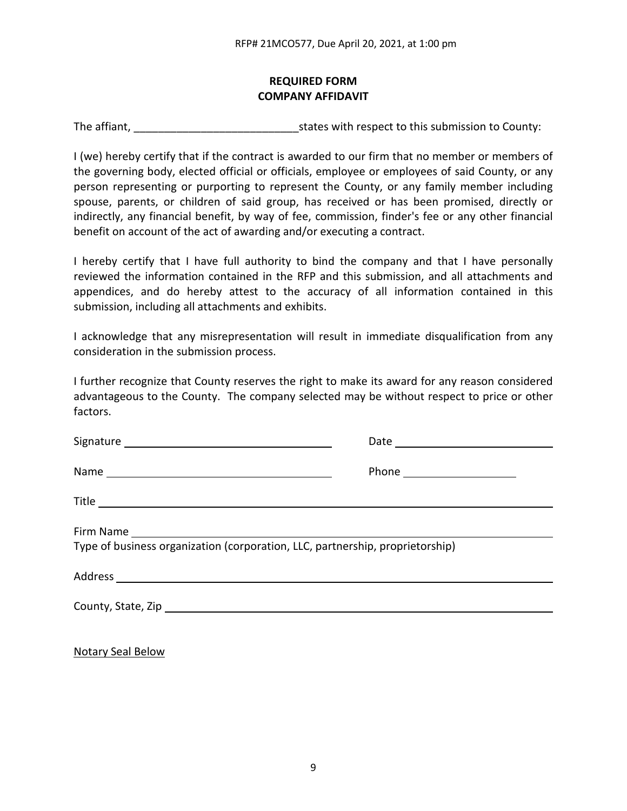## **REQUIRED FORM COMPANY AFFIDAVIT**

The affiant, The affiant,  $\frac{1}{2}$  is tates with respect to this submission to County:

I (we) hereby certify that if the contract is awarded to our firm that no member or members of the governing body, elected official or officials, employee or employees of said County, or any person representing or purporting to represent the County, or any family member including spouse, parents, or children of said group, has received or has been promised, directly or indirectly, any financial benefit, by way of fee, commission, finder's fee or any other financial benefit on account of the act of awarding and/or executing a contract.

I hereby certify that I have full authority to bind the company and that I have personally reviewed the information contained in the RFP and this submission, and all attachments and appendices, and do hereby attest to the accuracy of all information contained in this submission, including all attachments and exhibits.

I acknowledge that any misrepresentation will result in immediate disqualification from any consideration in the submission process.

I further recognize that County reserves the right to make its award for any reason considered advantageous to the County. The company selected may be without respect to price or other factors.

| Type of business organization (corporation, LLC, partnership, proprietorship) |  |  |  |
|-------------------------------------------------------------------------------|--|--|--|
|                                                                               |  |  |  |
|                                                                               |  |  |  |

Notary Seal Below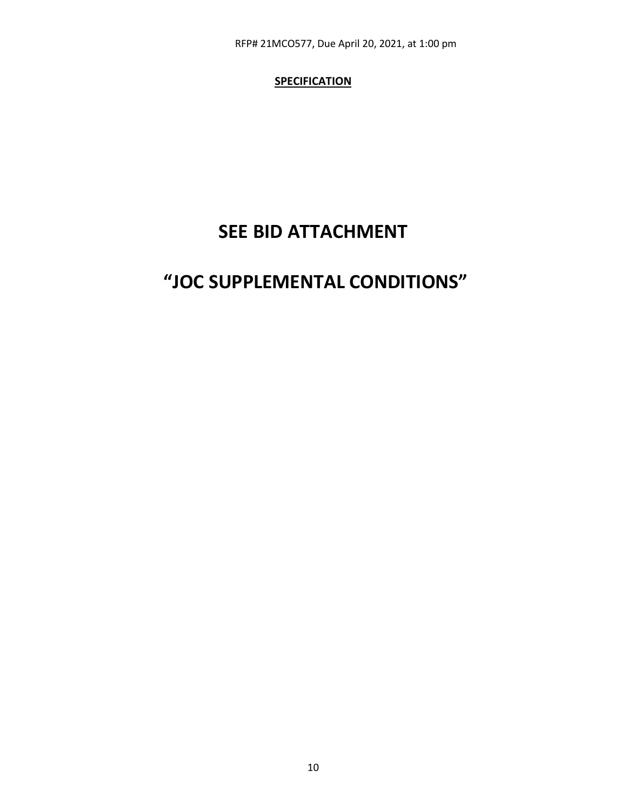RFP# 21MCO577, Due April 20, 2021, at 1:00 pm

## **SPECIFICATION**

## **SEE BID ATTACHMENT**

## **"JOC SUPPLEMENTAL CONDITIONS"**